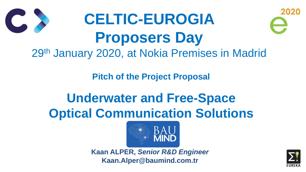**Pitch of the Project Proposal**

# **Underwater and Free-Space Optical Communication Solutions**





## **CELTIC-EUROGIA Proposers Day** 29th January 2020, at Nokia Premises in Madrid

**Kaan ALPER,** *Senior R&D Engineer* **Kaan.Alper@baumind.com.tr**



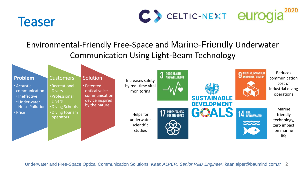





#### **Problem**

- •Acoustic communication
- •Ineffective
- •Underwater Noise Pollution
- Price

#### **Customers**

- •Recreational **Divers**
- Professional **Divers**
- •Diving Schools
- •Diving tourism operators

#### Solution

• Patented optical voice communication device inspired by the nature



Increases safety by real-time vital monitoring

> Helps for underwater scientific studies

### Environmental-Friendly Free-Space and Marine-Friendly Underwater Communication Using Light-Beam Technology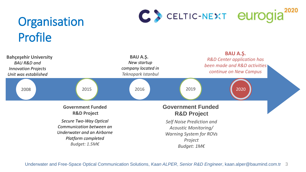# Organisation Profile

Underwater and Free-Space Optical Communication Solutions, *Kaan ALPER*, *Senior R&D Engineer*, kaan.alper@baumind.com.tr 3



**Bahçeşehir University** *BAU R&D and* 

*Innovation Projects Unit was established*

# 2008 2015 2016 2019 2020





#### **Government Funded R&D Project**

*Secure Two-Way Optical Communication between an Underwater and an Airborne Platform completed Budget: 1.5M€*

**BAU A.Ş.** *New startup company located in Teknopark Istanbul*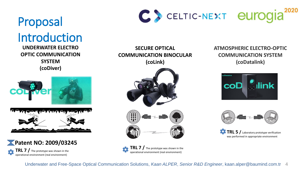Underwater and Free-Space Optical Communication Solutions, *Kaan ALPER*, *Senior R&D Engineer*, kaan.alper@baumind.com.tr 4



**TRL 7 /** The prototype was shown in the operational environment (real environment)





**TRL 7 /** The prototype was shown in the operational environment (real environment)

 $\mathbf{\Omega}$ **TRL 5 /** Laboratory prototype verification was performed in appropriate environment



#### **ATMOSPHERIC ELECTRO-OPTIC COMMUNICATION SYSTEM (coDatalink)**





#### **SECURE OPTICAL COMMUNICATION BINOCULAR (coLink)**







**OPTIC COMMUNICATION SYSTEM (coDiver)**

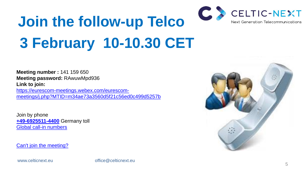

# **Join the follow-up Telco 3 February 10-10.30 CET**

**Meeting number :** 141 159 650 **Meeting password:** RAwuwMpd936 **Link to join:**

[https://eurescom-meetings.webex.com/eurescom](https://eurescom-meetings.webex.com/eurescom-meetings/j.php?MTID=m34ae73a3560d5f21c56ed0c499d5257b)[meetings/j.php?MTID=m34ae73a3560d5f21c56ed0c499d5257b](https://eurescom-meetings.webex.com/eurescom-meetings/j.php?MTID=m34ae73a3560d5f21c56ed0c499d5257b)

Join by phone **[+49-6925511-4400](about:blank)** Germany toll [Global call-in numbers](https://eurescom.webex.com/eurescom/globalcallin.php?serviceType=MC&ED=697732507&tollFree=0)

[Can't join the meeting?](https://collaborationhelp.cisco.com/article/WBX000029055)

www.celticnext.eu office@celticnext.eu